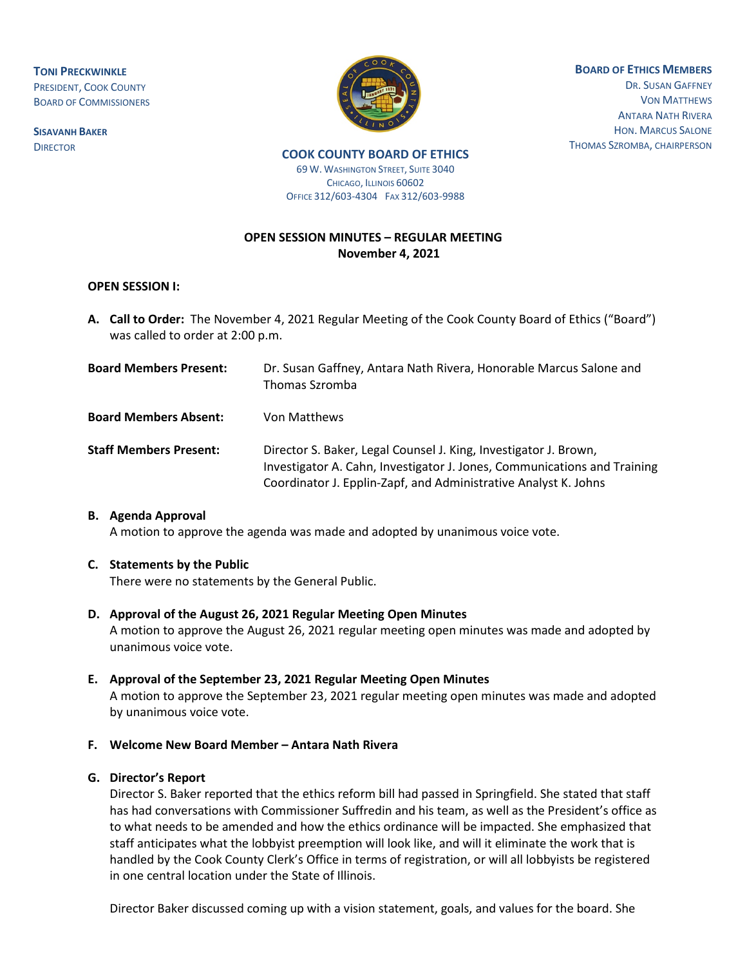**TONI PRECKWINKLE** PRESIDENT, COOK COUNTY BOARD OF COMMISSIONERS

**SISAVANH BAKER DIRECTOR** 



**BOARD OF ETHICS MEMBERS**

DR. SUSAN GAFFNEY VON MATTHEWS ANTARA NATH RIVERA HON. MARCUS SALONE THOMAS SZROMBA, CHAIRPERSON

**COOK COUNTY BOARD OF ETHICS** 

69 W. WASHINGTON STREET, SUITE 3040 CHICAGO, ILLINOIS 60602 OFFICE 312/603-4304 FAX 312/603-9988

# **OPEN SESSION MINUTES – REGULAR MEETING November 4, 2021**

## **OPEN SESSION I:**

- **A. Call to Order:** The November 4, 2021 Regular Meeting of the Cook County Board of Ethics ("Board") was called to order at 2:00 p.m.
- **Board Members Present:** Dr. Susan Gaffney, Antara Nath Rivera, Honorable Marcus Salone and Thomas Szromba **Board Members Absent:** Von Matthews **Staff Members Present:** Director S. Baker, Legal Counsel J. King, Investigator J. Brown, Investigator A. Cahn, Investigator J. Jones, Communications and Training Coordinator J. Epplin-Zapf, and Administrative Analyst K. Johns

## **B. Agenda Approval**

A motion to approve the agenda was made and adopted by unanimous voice vote.

## **C. Statements by the Public**

There were no statements by the General Public.

- **D. Approval of the August 26, 2021 Regular Meeting Open Minutes** A motion to approve the August 26, 2021 regular meeting open minutes was made and adopted by unanimous voice vote.
- **E. Approval of the September 23, 2021 Regular Meeting Open Minutes** A motion to approve the September 23, 2021 regular meeting open minutes was made and adopted by unanimous voice vote.

## **F. Welcome New Board Member – Antara Nath Rivera**

## **G. Director's Report**

Director S. Baker reported that the ethics reform bill had passed in Springfield. She stated that staff has had conversations with Commissioner Suffredin and his team, as well as the President's office as to what needs to be amended and how the ethics ordinance will be impacted. She emphasized that staff anticipates what the lobbyist preemption will look like, and will it eliminate the work that is handled by the Cook County Clerk's Office in terms of registration, or will all lobbyists be registered in one central location under the State of Illinois.

Director Baker discussed coming up with a vision statement, goals, and values for the board. She